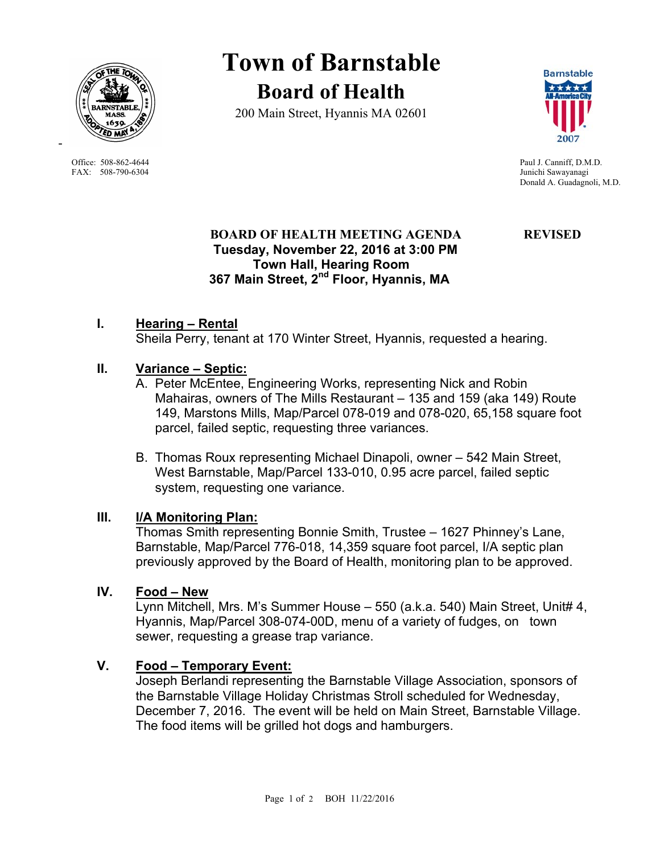

FAX: 508-790-6304 Junichi Sawayanagi

-

**Town of Barnstable Board of Health**

200 Main Street, Hyannis MA 02601



Office: 508-862-4644 Paul J. Canniff, D.M.D. Donald A. Guadagnoli, M.D.

# **BOARD OF HEALTH MEETING AGENDA REVISED Tuesday, November 22, 2016 at 3:00 PM Town Hall, Hearing Room 367 Main Street, 2nd Floor, Hyannis, MA**

## **I. Hearing – Rental**

Sheila Perry, tenant at 170 Winter Street, Hyannis, requested a hearing.

## **II. Variance – Septic:**

- A. Peter McEntee, Engineering Works, representing Nick and Robin Mahairas, owners of The Mills Restaurant – 135 and 159 (aka 149) Route 149, Marstons Mills, Map/Parcel 078-019 and 078-020, 65,158 square foot parcel, failed septic, requesting three variances.
- B. Thomas Roux representing Michael Dinapoli, owner 542 Main Street, West Barnstable, Map/Parcel 133-010, 0.95 acre parcel, failed septic system, requesting one variance.

## **III. I/A Monitoring Plan:**

Thomas Smith representing Bonnie Smith, Trustee – 1627 Phinney's Lane, Barnstable, Map/Parcel 776-018, 14,359 square foot parcel, I/A septic plan previously approved by the Board of Health, monitoring plan to be approved.

## **IV. Food – New**

Lynn Mitchell, Mrs. M's Summer House – 550 (a.k.a. 540) Main Street, Unit# 4, Hyannis, Map/Parcel 308-074-00D, menu of a variety of fudges, on town sewer, requesting a grease trap variance.

# **V. Food – Temporary Event:**

Joseph Berlandi representing the Barnstable Village Association, sponsors of the Barnstable Village Holiday Christmas Stroll scheduled for Wednesday, December 7, 2016. The event will be held on Main Street, Barnstable Village. The food items will be grilled hot dogs and hamburgers.